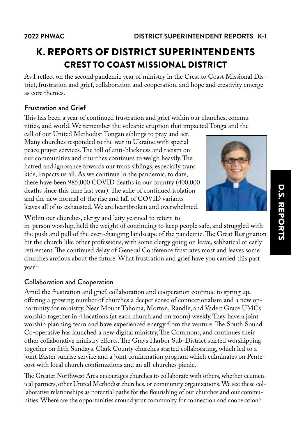# K. REPORTS OF DISTRICT SUPERINTENDENTS CREST TO COAST MISSIONAL DISTRICT

As I reflect on the second pandemic year of ministry in the Crest to Coast Missional District, frustration and grief, collaboration and cooperation, and hope and creativity emerge as core themes.

## Frustration and Grief

This has been a year of continued frustration and grief within our churches, communities, and world. We remember the volcanic eruption that impacted Tonga and the

call of our United Methodist Tongan siblings to pray and act. Many churches responded to the war in Ukraine with special peace prayer services. The toll of anti-blackness and racism on our communities and churches continues to weigh heavily. The hatred and ignorance towards our trans siblings, especially trans kids, impacts us all. As we continue in the pandemic, to date, there have been 985,000 COVID deaths in our country (400,000 deaths since this time last year). The ache of continued isolation and the new normal of the rise and fall of COVID variants leaves all of us exhausted. We are heartbroken and overwhelmed.



Within our churches, clergy and laity yearned to return to

in-person worship, held the weight of continuing to keep people safe, and struggled with the push and pull of the ever-changing landscape of the pandemic. The Great Resignation hit the church like other professions, with some clergy going on leave, sabbatical or early retirement. The continued delay of General Conference frustrates most and leaves some churches anxious about the future. What frustration and grief have you carried this past year?

## Collaboration and Cooperation

Amid the frustration and grief, collaboration and cooperation continue to spring up, offering a growing number of churches a deeper sense of connectionalism and a new opportunity for ministry. Near Mount Tahoma, Morton, Randle, and Vader: Grace UMCs worship together in 4 locations (at each church and on zoom) weekly. They have a joint worship planning team and have experienced energy from the venture. The South Sound Co-operative has launched a new digital ministry, The Commons, and continues their other collaborative ministry efforts. The Grays Harbor Sub-District started worshipping together on fifth Sundays. Clark County churches started collaborating, which led to a joint Easter sunrise service and a joint confirmation program which culminates on Pentecost with local church confirmations and an all-churches picnic.

The Greater Northwest Area encourages churches to collaborate with others, whether ecumenical partners, other United Methodist churches, or community organizations. We see these collaborative relationships as potential paths for the flourishing of our churches and our communities. Where are the opportunities around your community for connection and cooperation?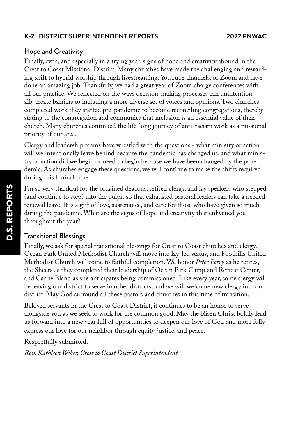### **K-2 DISTRICT SUPERINTENDENT REPORTS 2022 PNWAC**

### Hope and Creativity

Finally, even, and especially in a trying year, signs of hope and creativity abound in the Crest to Coast Missional District. Many churches have made the challenging and rewarding shift to hybrid worship through livestreaming, YouTube channels, or Zoom and have done an amazing job! Thankfully, we had a great year of Zoom charge conferences with all our practice. We reflected on the ways decision-making processes can unintentionally create barriers to including a more diverse set of voices and opinions. Two churches completed work they started pre-pandemic to become reconciling congregations, thereby stating to the congregation and community that inclusion is an essential value of their church. Many churches continued the life-long journey of anti-racism work as a missional priority of our area.

Clergy and leadership teams have wrestled with the questions - what ministry or action will we intentionally leave behind because the pandemic has changed us, and what ministry or action did we begin or need to begin because we have been changed by the pandemic. As churches engage these questions, we will continue to make the shifts required during this liminal time.

I'm so very thankful for the ordained deacons, retired clergy, and lay speakers who stepped (and continue to step) into the pulpit so that exhausted pastoral leaders can take a needed renewal leave. It is a gift of love, sustenance, and care for those who have given so much during the pandemic. What are the signs of hope and creativity that enlivened you throughout the year?

### Transitional Blessings

Finally, we ask for special transitional blessings for Crest to Coast churches and clergy. Ocean Park United Methodist Church will move into lay-led status, and Foothills United Methodist Church will come to faithful completion. We honor *Peter Perry* as he retires, the Sheers as they completed their leadership of Ocean Park Camp and Retreat Center, and Carrie Bland as she anticipates being commissioned. Like every year, some clergy will be leaving our district to serve in other districts, and we will welcome new clergy into our district. May God surround all these pastors and churches in this time of transition.

Beloved servants in the Crest to Coast District, it continues to be an honor to serve alongside you as we seek to work for the common good. May the Risen Christ boldly lead us forward into a new year full of opportunities to deepen our love of God and more fully express our love for our neighbor through equity, justice, and peace.

Respectfully submitted,

*Rev. Kathleen Weber, Crest to Coast District Superintendent*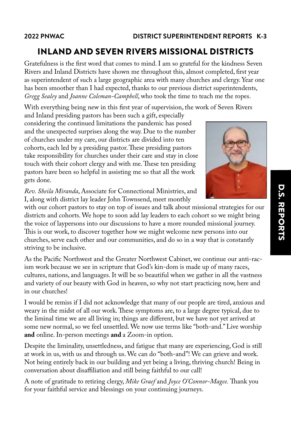## INLAND AND SEVEN RIVERS MISSIONAL DISTRICTS

Gratefulness is the first word that comes to mind. I am so grateful for the kindness Seven Rivers and Inland Districts have shown me throughout this, almost completed, first year as superintendent of such a large geographic area with many churches and clergy. Year one has been smoother than I had expected, thanks to our previous district superintendents, *Gregg Sealey* and *Joanne Coleman-Campbell*, who took the time to teach me the ropes.

With everything being new in this first year of supervision, the work of Seven Rivers

and Inland presiding pastors has been such a gift, especially considering the continued limitations the pandemic has posed and the unexpected surprises along the way. Due to the number of churches under my care, our districts are divided into ten cohorts, each led by a presiding pastor. These presiding pastors take responsibility for churches under their care and stay in close touch with their cohort clergy and with me. These ten presiding pastors have been so helpful in assisting me so that all the work gets done.

*Rev. Sheila Miranda*, Associate for Connectional Ministries, and I, along with district lay leader John Townsend, meet monthly

with our cohort pastors to stay on top of issues and talk about missional strategies for our districts and cohorts. We hope to soon add lay leaders to each cohort so we might bring the voice of laypersons into our discussions to have a more rounded missional journey. This is our work, to discover together how we might welcome new persons into our churches, serve each other and our communities, and do so in a way that is constantly striving to be inclusive.

As the Pacific Northwest and the Greater Northwest Cabinet, we continue our anti-racism work because we see in scripture that God's kin-dom is made up of many races, cultures, nations, and languages. It will be so beautiful when we gather in all the vastness and variety of our beauty with God in heaven, so why not start practicing now, here and in our churches!

I would be remiss if I did not acknowledge that many of our people are tired, anxious and weary in the midst of all our work. These symptoms are, to a large degree typical, due to the liminal time we are all living in; things are different, but we have not yet arrived at some new normal, so we feel unsettled. We now use terms like "both-and." Live worship **and** online. In-person meetings **and** a Zoom-in option.

Despite the liminality, unsettledness, and fatigue that many are experiencing, God is still at work in us, with us and through us. We can do "both-and"! We can grieve and work. Not being entirely back in our building and yet being a living, thriving church! Being in conversation about disaffiliation and still being faithful to our call!

A note of gratitude to retiring clergy, *Mike Graef* and *Joyce O'Connor-Magee.* Thank you for your faithful service and blessings on your continuing journeys.



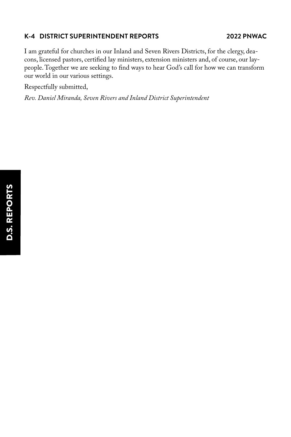## **K-4 DISTRICT SUPERINTENDENT REPORTS 2022 PNWAC**

I am grateful for churches in our Inland and Seven Rivers Districts, for the clergy, deacons, licensed pastors, certified lay ministers, extension ministers and, of course, our laypeople. Together we are seeking to find ways to hear God's call for how we can transform our world in our various settings.

Respectfully submitted,

*Rev. Daniel Miranda, Seven Rivers and Inland District Superintendent*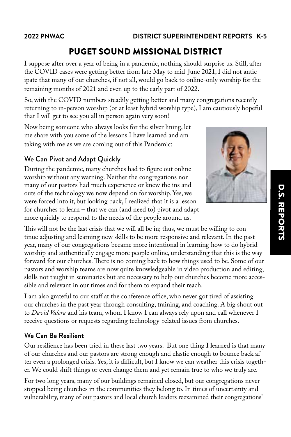## PUGET SOUND MISSIONAL DISTRICT

I suppose after over a year of being in a pandemic, nothing should surprise us. Still, after the COVID cases were getting better from late May to mid-June 2021, I did not anticipate that many of our churches, if not all, would go back to online-only worship for the remaining months of 2021 and even up to the early part of 2022.

So, with the COVID numbers steadily getting better and many congregations recently returning to in-person worship (or at least hybrid worship type), I am cautiously hopeful that I will get to see you all in person again very soon!

Now being someone who always looks for the silver lining, let me share with you some of the lessons I have learned and am taking with me as we are coming out of this Pandemic:

## We Can Pivot and Adapt Quickly

During the pandemic, many churches had to figure out online worship without any warning. Neither the congregations nor many of our pastors had much experience or knew the ins and outs of the technology we now depend on for worship. Yes, we were forced into it, but looking back, I realized that it is a lesson for churches to learn – that we can (and need to) pivot and adapt more quickly to respond to the needs of the people around us.

This will not be the last crisis that we will all be in; thus, we must be willing to continue adjusting and learning new skills to be more responsive and relevant. In the past year, many of our congregations became more intentional in learning how to do hybrid worship and authentically engage more people online, understanding that this is the way forward for our churches. There is no coming back to how things used to be. Some of our pastors and worship teams are now quite knowledgeable in video production and editing, skills not taught in seminaries but are necessary to help our churches become more accessible and relevant in our times and for them to expand their reach.

I am also grateful to our staff at the conference office, who never got tired of assisting our churches in the past year through consulting, training, and coaching. A big shout out to *David Valera* and his team, whom I know I can always rely upon and call whenever I receive questions or requests regarding technology-related issues from churches.

### We Can Be Resilient

Our resilience has been tried in these last two years. But one thing I learned is that many of our churches and our pastors are strong enough and elastic enough to bounce back after even a prolonged crisis. Yes, it is difficult, but I know we can weather this crisis together. We could shift things or even change them and yet remain true to who we truly are.

For two long years, many of our buildings remained closed, but our congregations never stopped being churches in the communities they belong to. In times of uncertainty and vulnerability, many of our pastors and local church leaders reexamined their congregations'

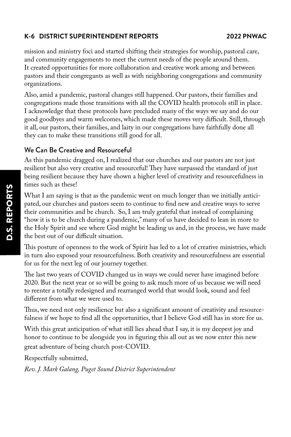## **K-6 DISTRICT SUPERINTENDENT REPORTS 2022 PNWAC**

mission and ministry foci and started shifting their strategies for worship, pastoral care, and community engagements to meet the current needs of the people around them. It created opportunities for more collaboration and creative work among and between pastors and their congregants as well as with neighboring congregations and community organizations.

Also, amid a pandemic, pastoral changes still happened. Our pastors, their families and congregations made those transitions with all the COVID health protocols still in place. I acknowledge that these protocols have precluded many of the ways we say and do our good goodbyes and warm welcomes, which made these moves very difficult. Still, through it all, our pastors, their families, and laity in our congregations have faithfully done all they can to make these transitions still good for all.

## We Can Be Creative and Resourceful

As this pandemic dragged on, I realized that our churches and our pastors are not just resilient but also very creative and resourceful! They have surpassed the standard of just being resilient because they have shown a higher level of creativity and resourcefulness in times such as these!

What I am saying is that as the pandemic went on much longer than we initially anticipated, our churches and pastors seem to continue to find new and creative ways to serve their communities and be church. So, I am truly grateful that instead of complaining "how it is to be church during a pandemic," many of us have decided to lean in more to the Holy Spirit and see where God might be leading us and, in the process, we have made the best out of our difficult situation.

This posture of openness to the work of Spirit has led to a lot of creative ministries, which in turn also exposed your resourcefulness. Both creativity and resourcefulness are essential for us for the next leg of our journey together.

The last two years of COVID changed us in ways we could never have imagined before 2020. But the next year or so will be going to ask much more of us because we will need to reenter a totally redesigned and rearranged world that would look, sound and feel different from what we were used to.

Thus, we need not only resilience but also a significant amount of creativity and resourcefulness if we hope to find all the opportunities, that I believe God still has in store for us.

With this great anticipation of what still lies ahead that I say, it is my deepest joy and honor to continue to be alongside you in figuring this all out as we now enter this new great adventure of being church post-COVID.

Respectfully submitted,

*Rev. J. Mark Galang, Puget Sound District Superintendent*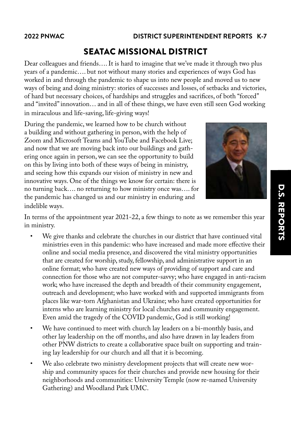## SEATAC MISSIONAL DISTRICT

Dear colleagues and friends…. It is hard to imagine that we've made it through two plus years of a pandemic…. but not without many stories and experiences of ways God has worked in and through the pandemic to shape us into new people and moved us to new ways of being and doing ministry: stories of successes and losses, of setbacks and victories, of hard but necessary choices, of hardships and struggles and sacrifices, of both "forced" and "invited" innovation… and in all of these things, we have even still seen God working in miraculous and life-saving, life-giving ways!

During the pandemic, we learned how to be church without a building and without gathering in person, with the help of Zoom and Microsoft Teams and YouTube and Facebook Live; and now that we are moving back into our buildings and gathering once again in person, we can see the opportunity to build on this by living into both of these ways of being in ministry, and seeing how this expands our vision of ministry in new and innovative ways. One of the things we know for certain: there is no turning back…. no returning to how ministry once was…. for the pandemic has changed us and our ministry in enduring and indelible ways.



In terms of the appointment year 2021-22, a few things to note as we remember this year in ministry.

- We give thanks and celebrate the churches in our district that have continued vital ministries even in this pandemic: who have increased and made more effective their online and social media presence, and discovered the vital ministry opportunities that are created for worship, study, fellowship, and administrative support in an online format; who have created new ways of providing of support and care and connection for those who are not computer-savvy; who have engaged in anti-racism work; who have increased the depth and breadth of their community engagement, outreach and development; who have worked with and supported immigrants from places like war-torn Afghanistan and Ukraine; who have created opportunities for interns who are learning ministry for local churches and community engagement. Even amid the tragedy of the COVID pandemic, God is still working!
- We have continued to meet with church lay leaders on a bi-monthly basis, and other lay leadership on the off months, and also have drawn in lay leaders from other PNW districts to create a collaborative space built on supporting and training lay leadership for our church and all that it is becoming.
- We also celebrate two ministry development projects that will create new worship and community spaces for their churches and provide new housing for their neighborhoods and communities: University Temple (now re-named University Gathering) and Woodland Park UMC.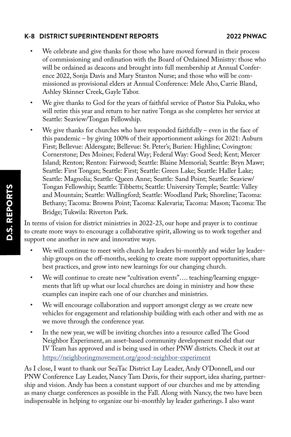## **K-8 DISTRICT SUPERINTENDENT REPORTS 2022 PNWAC**

- We celebrate and give thanks for those who have moved forward in their process of commissioning and ordination with the Board of Ordained Ministry: those who will be ordained as deacons and brought into full membership at Annual Conference 2022, Sonja Davis and Mary Stanton Nurse; and those who will be commissioned as provisional elders at Annual Conference: Mele Aho, Carrie Bland, Ashley Skinner Creek, Gayle Tabor.
- We give thanks to God for the years of faithful service of Pastor Sia Puloka, who will retire this year and return to her native Tonga as she completes her service at Seattle: Seaview/Tongan Fellowship.
- We give thanks for churches who have responded faithfully even in the face of this pandemic – by giving 100% of their apportionment askings for 2021: Auburn First; Bellevue: Aldersgate; Bellevue: St. Peter's; Burien: Highline; Covington: Cornerstone; Des Moines; Federal Way; Federal Way: Good Seed; Kent; Mercer Island; Renton; Renton: Fairwood; Seattle: Blaine Memorial; Seattle: Bryn Mawr; Seattle: First Tongan; Seattle: First; Seattle: Green Lake; Seattle: Haller Lake; Seattle: Magnolia; Seattle: Queen Anne; Seattle: Sand Point; Seattle: Seaview/ Tongan Fellowship; Seattle: Tibbetts; Seattle: University Temple; Seattle: Valley and Mountain; Seattle: Wallingford; Seattle: Woodland Park; Shoreline; Tacoma: Bethany; Tacoma: Browns Point; Tacoma: Kalevaria; Tacoma: Mason; Tacoma: The Bridge; Tukwila: Riverton Park.

In terms of vision for district ministries in 2022-23, our hope and prayer is to continue to create more ways to encourage a collaborative spirit, allowing us to work together and support one another in new and innovative ways.

- We will continue to meet with church lay leaders bi-monthly and wider lay leadership groups on the off-months, seeking to create more support opportunities, share best practices, and grow into new learnings for our changing church.
- We will continue to create new "cultivation events".... teaching/learning engagements that lift up what our local churches are doing in ministry and how these examples can inspire each one of our churches and ministries.
- We will encourage collaboration and support amongst clergy as we create new vehicles for engagement and relationship building with each other and with me as we move through the conference year.
- In the new year, we will be inviting churches into a resource called The Good Neighbor Experiment, an asset-based community development model that our IV Team has approved and is being used in other PNW districts. Check it out at <https://neighboringmovement.org/good-neighbor-experiment>

As I close, I want to thank our SeaTac District Lay Leader, Andy O'Donnell, and our PNW Conference Lay Leader, Nancy Tam Davis, for their support, idea sharing, partnership and vision. Andy has been a constant support of our churches and me by attending as many charge conferences as possible in the Fall. Along with Nancy, the two have been indispensable in helping to organize our bi-monthly lay leader gatherings. I also want